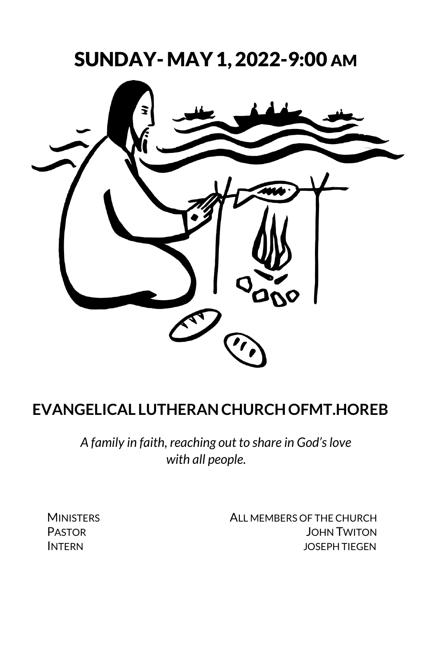SUNDAY- MAY1, 2022-9:00 AM



# **EVANGELICAL LUTHERANCHURCHOFMT.HOREB**

*A family in faith, reaching out to share in God's love with all people.*

MINISTERS **ALL MEMBERS OF THE CHURCH** PASTOR **DESIGNATION** DONN TWITON INTERN JOSEPH TIEGEN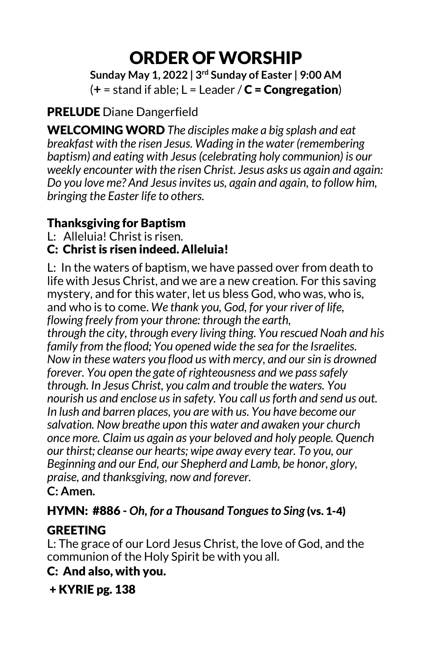# ORDER OFWORSHIP

**Sunday May 1, 2022 | 3rd Sunday of Easter | 9:00 AM**  $(+ = stand if able; L = Leader / C = Congregation)$ 

## PRELUDE Diane Dangerfield

WELCOMING WORD *The disciples make a big splash and eat breakfast with the risen Jesus. Wading in the water (remembering baptism) and eating with Jesus (celebrating holy communion) is our weekly encounter with the risen Christ. Jesus asks us again and again: Do you love me? And Jesus invites us, again and again, to follow him, bringing the Easter life to others.*

### Thanksgiving for Baptism

L: Alleluia! Christ is risen.

## C: Christ is risen indeed. Alleluia!

L: In the waters of baptism, we have passed over from death to life with Jesus Christ, and we are a new creation. For this saving mystery, and for this water, let us bless God, who was, who is, and who is to come. *We thank you, God, for your river of life, flowing freely from your throne: through the earth,*

*through the city, through every living thing. You rescued Noah and his family from the flood; You opened wide the sea for the Israelites. Now in these waters you flood us with mercy, and our sin is drowned forever. You open the gate of righteousness and we pass safely through. In Jesus Christ, you calm and trouble the waters. You nourish us and enclose us in safety. You call us forth and send us out. In lush and barren places, you are with us. You have become our salvation. Now breathe upon this water and awaken your church once more. Claim us again as your beloved and holy people. Quench our thirst; cleanse our hearts; wipe away every tear. To you, our Beginning and our End, our Shepherd and Lamb, be honor, glory, praise, and thanksgiving, now and forever.* **C: Amen.**

## HYMN: #886 **-** *Oh, for a Thousand Tongues to Sing* (vs. 1-4)

## **GREETING**

L: The grace of our Lord Jesus Christ, the love of God, and the communion of the Holy Spirit be with you all.

# C: And also, with you.

+ KYRIE pg. 138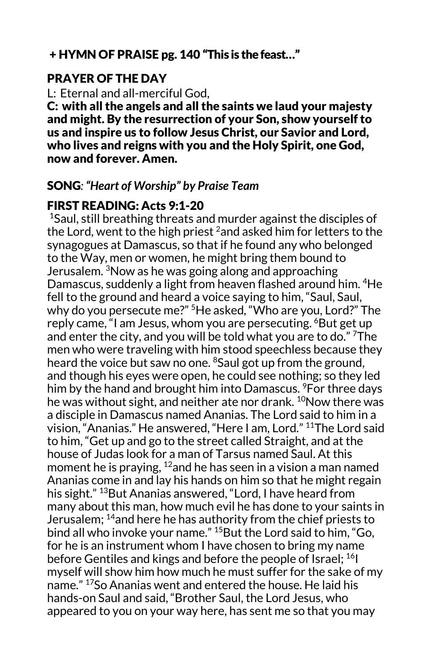#### + HYMN OF PRAISE pg. 140 "This is the feast…"

#### PRAYER OF THE DAY

L: Eternal and all-merciful God,

C: with all the angels and all the saints we laud your majesty and might. By the resurrection of your Son, show yourself to us and inspire us to follow Jesus Christ, our Savior and Lord, who lives and reigns with you and the Holy Spirit, one God, now and forever. Amen.

#### SONG*: "Heart of Worship" by Praise Team*

#### FIRST READING: Acts 9:1-20

 $1$ Saul, still breathing threats and murder against the disciples of the Lord, went to the high priest <sup>2</sup>and asked him for letters to the synagogues at Damascus, so that if he found any who belonged to the Way, men or women, he might bring them bound to Jerusalem. <sup>3</sup>Now as he was going along and approaching Damascus, suddenly a light from heaven flashed around him. <sup>4</sup>He fell to the ground and heard a voice saying to him, "Saul, Saul, why do you persecute me?" 5He asked, "Who are you, Lord?" The reply came, "I am Jesus, whom you are persecuting. <sup>6</sup>But get up and enter the city, and you will be told what you are to do." <sup>7</sup>The men who were traveling with him stood speechless because they heard the voice but saw no one. <sup>8</sup>Saul got up from the ground, and though his eyes were open, he could see nothing; so they led him by the hand and brought him into Damascus. <sup>9</sup>For three days he was without sight, and neither ate nor drank. <sup>10</sup>Now there was a disciple in Damascus named Ananias. The Lord said to him in a vision, "Ananias." He answered, "Here I am, Lord." 11The Lord said to him, "Get up and go to the street called Straight, and at the house of Judas look for a man of Tarsus named Saul. At this moment he is praying,  $12$  and he has seen in a vision a man named Ananias come in and lay his hands on him so that he might regain his sight." <sup>13</sup>But Ananias answered, "Lord, I have heard from many about this man, how much evil he has done to your saints in Jerusalem; 14and here he has authority from the chief priests to bind all who invoke your name." 15But the Lord said to him, "Go, for he is an instrument whom I have chosen to bring my name before Gentiles and kings and before the people of Israel; <sup>16</sup>I myself will show him how much he must suffer for the sake of my name." 17So Ananias went and entered the house. He laid his hands-on Saul and said, "Brother Saul, the Lord Jesus, who appeared to you on your way here, has sent me so that you may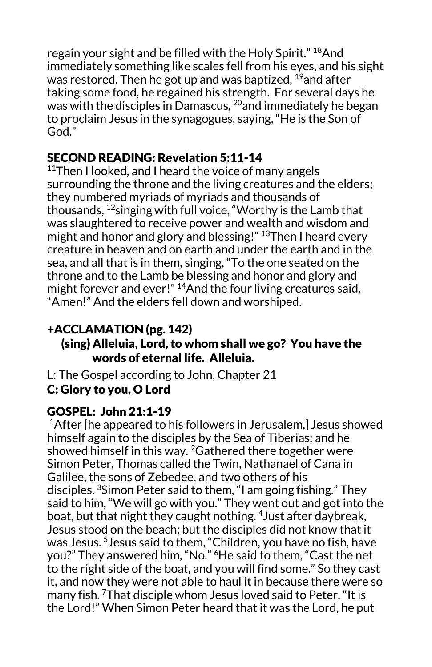regain your sight and be filled with the Holy Spirit." <sup>18</sup>And immediately something like scales fell from his eyes, and his sight was restored. Then he got up and was baptized.  $^{19}$ and after taking some food, he regained his strength. For several days he was with the disciples in Damascus, <sup>20</sup>and immediately he began to proclaim Jesus in the synagogues, saying, "He is the Son of God."

## SECOND READING: Revelation 5:11-14

 $11$ Then I looked, and I heard the voice of many angels surrounding the throne and the living creatures and the elders; they numbered myriads of myriads and thousands of thousands,  $^{12}$ singing with full voice, "Worthy is the Lamb that was slaughtered to receive power and wealth and wisdom and might and honor and glory and blessing!" 13Then I heard every creature in heaven and on earth and under the earth and in the sea, and all that is in them, singing, "To the one seated on the throne and to the Lamb be blessing and honor and glory and might forever and ever!"  $14$ And the four living creatures said, "Amen!" And the elders fell down and worshiped.

## +ACCLAMATION (pg. 142)

#### (sing) Alleluia, Lord, to whom shall we go? You have the words of eternal life. Alleluia.

L: The Gospel according to John, Chapter 21 C: Glory to you, O Lord

#### GOSPEL: John 21:1-19

 $1$ After [he appeared to his followers in Jerusalem,] Jesus showed himself again to the disciples by the Sea of Tiberias; and he showed himself in this way.  $^{2}$ Gathered there together were Simon Peter, Thomas called the Twin, Nathanael of Cana in Galilee, the sons of Zebedee, and two others of his disciples. <sup>3</sup> Simon Peter said to them, "I am going fishing." They said to him, "We will go with you." They went out and got into the boat, but that night they caught nothing. 4Just after daybreak, Jesus stood on the beach; but the disciples did not know that it was Jesus. <sup>5</sup> Jesus said to them, "Children, you have no fish, have you?" They answered him, "No." <sup>6</sup>He said to them, "Cast the net to the right side of the boat, and you will find some." So they cast it, and now they were not able to haul it in because there were so many fish. 7That disciple whom Jesus loved said to Peter, "It is the Lord!" When Simon Peter heard that it was the Lord, he put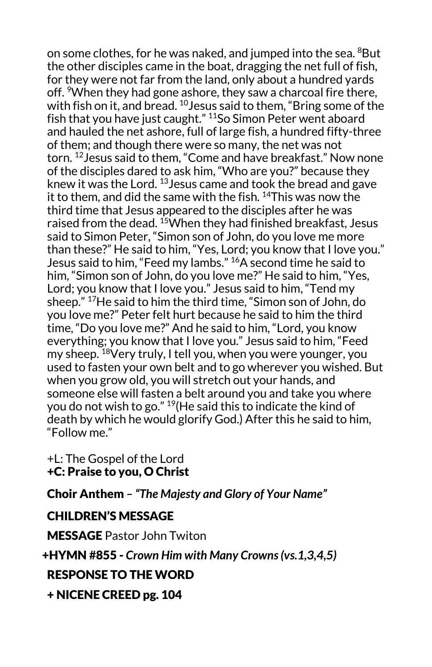on some clothes, for he was naked, and jumped into the sea.  ${}^{8}$ But the other disciples came in the boat, dragging the net full of fish, for they were not far from the land, only about a hundred yards off. When they had gone ashore, they saw a charcoal fire there, with fish on it, and bread.  $^{10}$  Jesus said to them, "Bring some of the fish that you have just caught." <sup>11</sup>So Simon Peter went aboard and hauled the net ashore, full of large fish, a hundred fifty-three of them; and though there were so many, the net was not torn. 12Jesus said to them, "Come and have breakfast." Now none of the disciples dared to ask him, "Who are you?" because they knew it was the Lord. 13Jesus came and took the bread and gave it to them, and did the same with the fish. <sup>14</sup>This was now the third time that Jesus appeared to the disciples after he was raised from the dead. 15When they had finished breakfast, Jesus said to Simon Peter, "Simon son of John, do you love me more than these?" He said to him, "Yes, Lord; you know that I love you." Jesus said to him, "Feed my lambs." 16A second time he said to him, "Simon son of John, do you love me?" He said to him, "Yes, Lord; you know that I love you." Jesus said to him, "Tend my sheep." 17He said to him the third time, "Simon son of John, do you love me?" Peter felt hurt because he said to him the third time, "Do you love me?" And he said to him, "Lord, you know everything; you know that I love you." Jesus said to him, "Feed my sheep. <sup>18</sup>Very truly, I tell you, when you were younger, you used to fasten your own belt and to go wherever you wished. But when you grow old, you will stretch out your hands, and someone else will fasten a belt around you and take you where you do not wish to go." 19(He said this to indicate the kind of death by which he would glorify God.) After this he said to him, "Follow me."

+L: The Gospel of the Lord +C: Praise to you, O Christ

Choir Anthem *– "The Majesty and Glory of Your Name"* 

#### CHILDREN'S MESSAGE

MESSAGE Pastor John Twiton

+HYMN **#**855 - *Crown Him with Many Crowns (vs.1,3,4,5)*

#### RESPONSE TO THE WORD

+ NICENE CREED pg. 104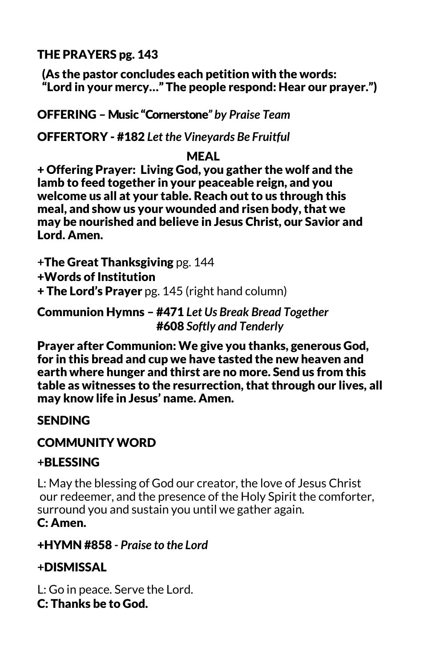THE PRAYERS pg. 143

 (As the pastor concludes each petition with the words: "Lord in your mercy…" The people respond: Hear our prayer.")

OFFERING – Music "Cornerstone*" by Praise Team*

OFFERTORY - #182 *Let the Vineyards Be Fruitful*

#### MEAL

+ Offering Prayer: Living God, you gather the wolf and the lamb to feed together in your peaceable reign, and you welcome us all at your table. Reach out to us through this meal, and show us your wounded and risen body, that we may be nourished and believe in Jesus Christ, our Savior and Lord. Amen.

**+**The Great Thanksgiving pg. 144 +Words of Institution

+ The Lord's Prayer pg. 145 (right hand column)

Communion Hymns – #471 *Let Us Break Bread Together* #608 *Softly and Tenderly*

 Prayer after Communion: We give you thanks, generous God, for in this bread and cup we have tasted the new heaven and earth where hunger and thirst are no more. Send us from this table as witnesses to the resurrection, that through our lives, all may know life in Jesus' name. Amen.

## **SENDING**

#### COMMUNITY WORD

#### **+**BLESSING

L: May the blessing of God our creator, the love of Jesus Christ our redeemer, and the presence of the Holy Spirit the comforter, surround you and sustain you until we gather again. C: Amen.

#### +HYMN #858 *- Praise to the Lord*

## **+**DISMISSAL

L: Go in peace. Serve the Lord.

C: Thanks be to God.